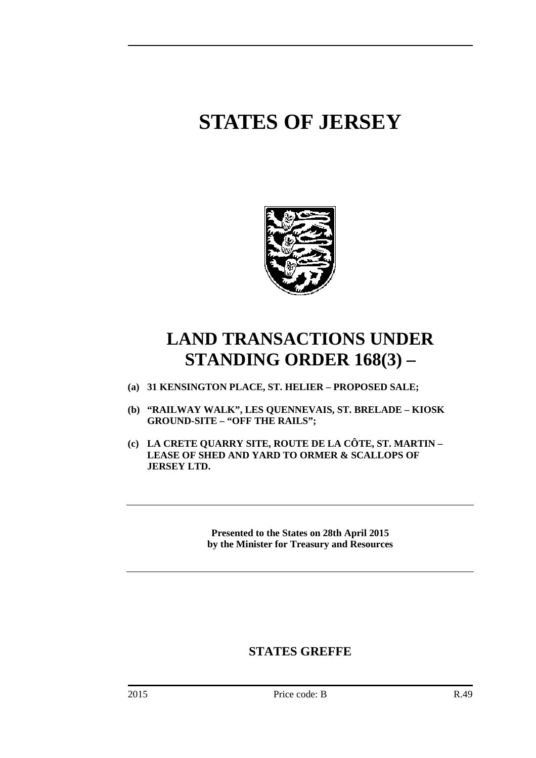# **STATES OF JERSEY**



## **LAND TRANSACTIONS UNDER STANDING ORDER 168(3) –**

- **(a) 31 KENSINGTON PLACE, ST. HELIER PROPOSED SALE;**
- **(b) "RAILWAY WALK", LES QUENNEVAIS, ST. BRELADE KIOSK GROUND-SITE – "OFF THE RAILS";**
- **(c) LA CRETE QUARRY SITE, ROUTE DE LA CÔTE, ST. MARTIN LEASE OF SHED AND YARD TO ORMER & SCALLOPS OF JERSEY LTD.**

**Presented to the States on 28th April 2015 by the Minister for Treasury and Resources** 

### **STATES GREFFE**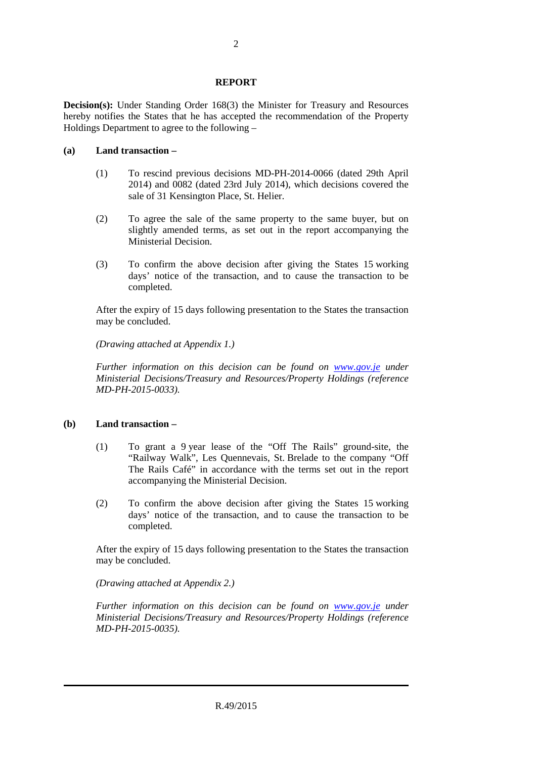#### **REPORT**

**Decision(s):** Under Standing Order 168(3) the Minister for Treasury and Resources hereby notifies the States that he has accepted the recommendation of the Property Holdings Department to agree to the following –

#### **(a) Land transaction –**

- (1) To rescind previous decisions MD-PH-2014-0066 (dated 29th April 2014) and 0082 (dated 23rd July 2014), which decisions covered the sale of 31 Kensington Place, St. Helier.
- (2) To agree the sale of the same property to the same buyer, but on slightly amended terms, as set out in the report accompanying the Ministerial Decision.
- (3) To confirm the above decision after giving the States 15 working days' notice of the transaction, and to cause the transaction to be completed.

After the expiry of 15 days following presentation to the States the transaction may be concluded.

*(Drawing attached at Appendix 1.)* 

*Further information on this decision can be found on www.gov.je under Ministerial Decisions/Treasury and Resources/Property Holdings (reference MD-PH-2015-0033).* 

#### **(b) Land transaction –**

- (1) To grant a 9 year lease of the "Off The Rails" ground-site, the "Railway Walk", Les Quennevais, St. Brelade to the company "Off The Rails Café" in accordance with the terms set out in the report accompanying the Ministerial Decision.
- (2) To confirm the above decision after giving the States 15 working days' notice of the transaction, and to cause the transaction to be completed.

After the expiry of 15 days following presentation to the States the transaction may be concluded.

*(Drawing attached at Appendix 2.)* 

*Further information on this decision can be found on www.gov.je under Ministerial Decisions/Treasury and Resources/Property Holdings (reference MD-PH-2015-0035).*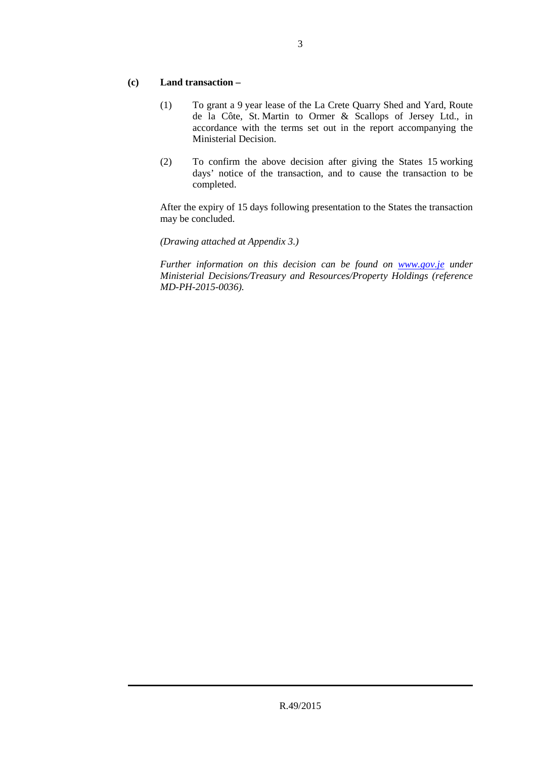#### **(c) Land transaction –**

- (1) To grant a 9 year lease of the La Crete Quarry Shed and Yard, Route de la Côte, St. Martin to Ormer & Scallops of Jersey Ltd., in accordance with the terms set out in the report accompanying the Ministerial Decision.
- (2) To confirm the above decision after giving the States 15 working days' notice of the transaction, and to cause the transaction to be completed.

After the expiry of 15 days following presentation to the States the transaction may be concluded.

#### *(Drawing attached at Appendix 3.)*

*Further information on this decision can be found on www.gov.je under Ministerial Decisions/Treasury and Resources/Property Holdings (reference MD-PH-2015-0036).*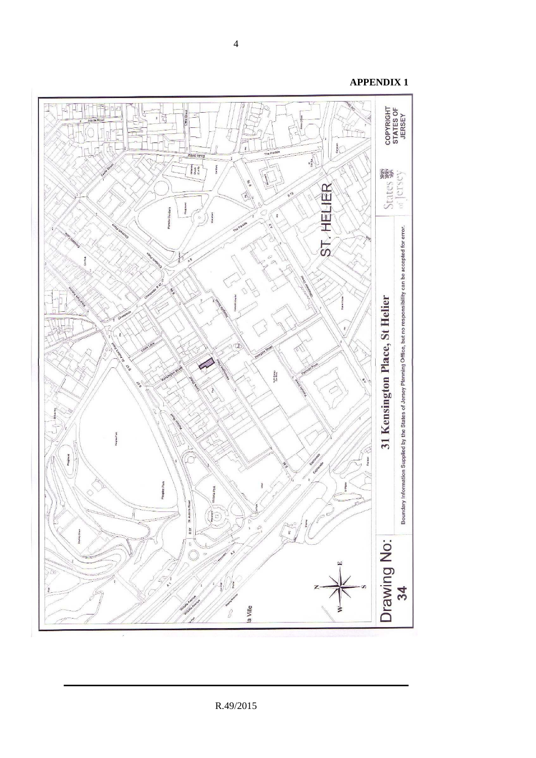

**APPENDIX 1**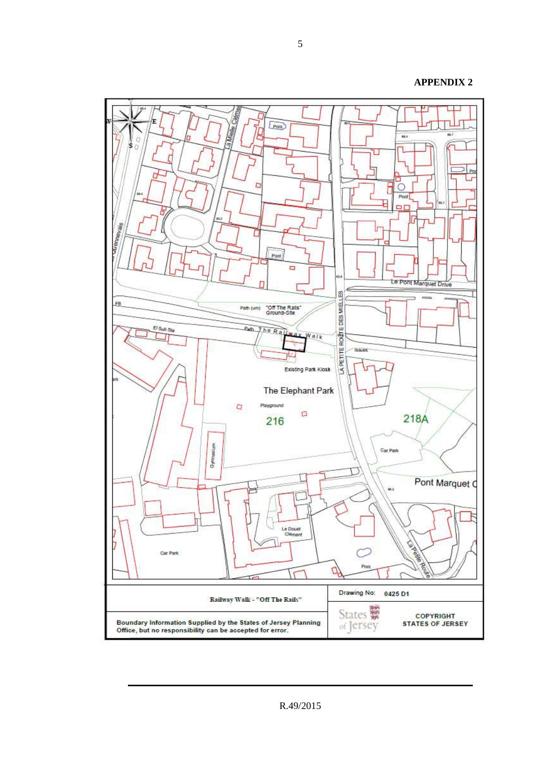#### **APPENDIX 2**



R.49/2015